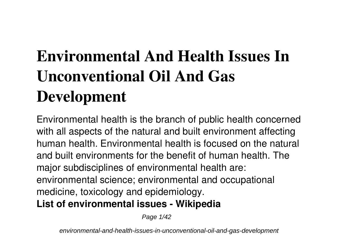# **Environmental And Health Issues In Unconventional Oil And Gas Development**

Environmental health is the branch of public health concerned with all aspects of the natural and built environment affecting human health. Environmental health is focused on the natural and built environments for the benefit of human health. The major subdisciplines of environmental health are: environmental science; environmental and occupational medicine, toxicology and epidemiology. **List of environmental issues - Wikipedia**

Page  $1/42$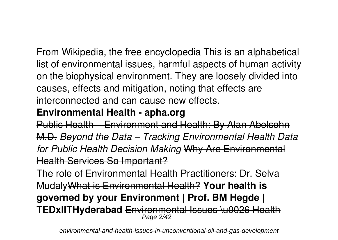From Wikipedia, the free encyclopedia This is an alphabetical list of environmental issues, harmful aspects of human activity on the biophysical environment. They are loosely divided into causes, effects and mitigation, noting that effects are interconnected and can cause new effects.

## **Environmental Health - apha.org**

Public Health – Environment and Health: By Alan Abelsohn M.D. *Beyond the Data – Tracking Environmental Health Data for Public Health Decision Making* Why Are Environmental Health Services So Important?

The role of Environmental Health Practitioners: Dr. Selva MudalyWhat is Environmental Health? **Your health is governed by your Environment | Prof. BM Hegde | TEDxIITHyderabad** Environmental Issues \u0026 Health Page 2/42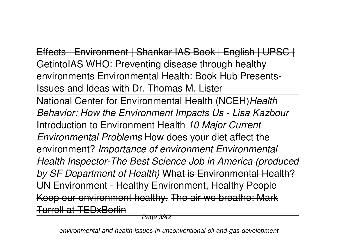Effects | Environment | Shankar IAS Book | English | UPSC | GetintoIAS WHO: Preventing disease through healthy environments Environmental Health: Book Hub Presents-Issues and Ideas with Dr. Thomas M. Lister National Center for Environmental Health (NCEH)*Health Behavior: How the Environment Impacts Us - Lisa Kazbour* Introduction to Environment Health *10 Major Current Environmental Problems* How does your diet affect the environment? *Importance of environment Environmental Health Inspector-The Best Science Job in America (produced by SF Department of Health)* What is Environmental Health? UN Environment - Healthy Environment, Healthy People Keep our environment healthy. The air we breathe: Mark Turrell at TEDxBerlin

Page 3/42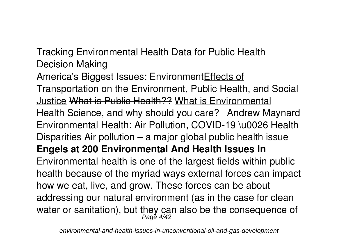Tracking Environmental Health Data for Public Health Decision Making

America's Biggest Issues: EnvironmentEffects of Transportation on the Environment, Public Health, and Social Justice What is Public Health?? What is Environmental Health Science, and why should you care? | Andrew Maynard Environmental Health: Air Pollution, COVID-19 \u0026 Health Disparities Air pollution – a major global public health issue **Engels at 200 Environmental And Health Issues In** Environmental health is one of the largest fields within public health because of the myriad ways external forces can impact how we eat, live, and grow. These forces can be about addressing our natural environment (as in the case for clean water or sanitation), but they can also be the consequence of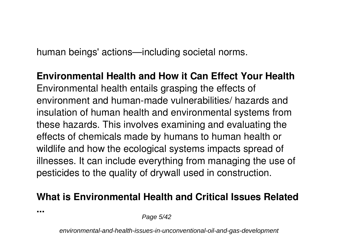human beings' actions—including societal norms.

**Environmental Health and How it Can Effect Your Health** Environmental health entails grasping the effects of environment and human-made vulnerabilities/ hazards and insulation of human health and environmental systems from these hazards. This involves examining and evaluating the effects of chemicals made by humans to human health or wildlife and how the ecological systems impacts spread of illnesses. It can include everything from managing the use of pesticides to the quality of drywall used in construction.

## **What is Environmental Health and Critical Issues Related**

**...**

Page 5/42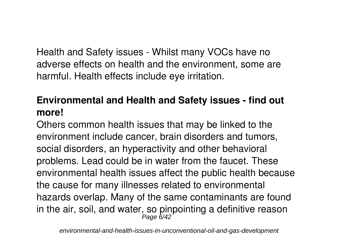Health and Safety issues - Whilst many VOCs have no adverse effects on health and the environment, some are harmful. Health effects include eye irritation.

## **Environmental and Health and Safety issues - find out more!**

Others common health issues that may be linked to the environment include cancer, brain disorders and tumors, social disorders, an hyperactivity and other behavioral problems. Lead could be in water from the faucet. These environmental health issues affect the public health because the cause for many illnesses related to environmental hazards overlap. Many of the same contaminants are found in the air, soil, and water, so pinpointing a definitive reason<br> $\frac{Page 6/42}$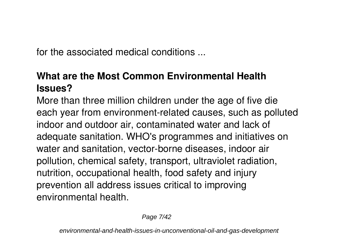for the associated medical conditions ...

# **What are the Most Common Environmental Health Issues?**

More than three million children under the age of five die each year from environment-related causes, such as polluted indoor and outdoor air, contaminated water and lack of adequate sanitation. WHO's programmes and initiatives on water and sanitation, vector-borne diseases, indoor air pollution, chemical safety, transport, ultraviolet radiation, nutrition, occupational health, food safety and injury prevention all address issues critical to improving environmental health.

Page 7/42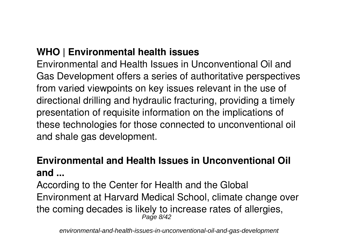## **WHO | Environmental health issues**

Environmental and Health Issues in Unconventional Oil and Gas Development offers a series of authoritative perspectives from varied viewpoints on key issues relevant in the use of directional drilling and hydraulic fracturing, providing a timely presentation of requisite information on the implications of these technologies for those connected to unconventional oil and shale gas development.

## **Environmental and Health Issues in Unconventional Oil and ...**

According to the Center for Health and the Global Environment at Harvard Medical School, climate change over the coming decades is likely to increase rates of allergies, Page 8/42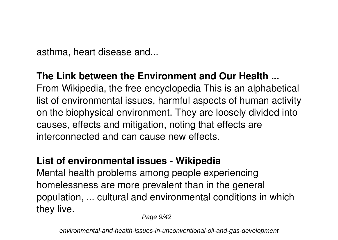asthma, heart disease and...

## **The Link between the Environment and Our Health ...**

From Wikipedia, the free encyclopedia This is an alphabetical list of environmental issues, harmful aspects of human activity on the biophysical environment. They are loosely divided into causes, effects and mitigation, noting that effects are interconnected and can cause new effects.

## **List of environmental issues - Wikipedia**

Mental health problems among people experiencing homelessness are more prevalent than in the general population, ... cultural and environmental conditions in which they live.

Page  $9/42$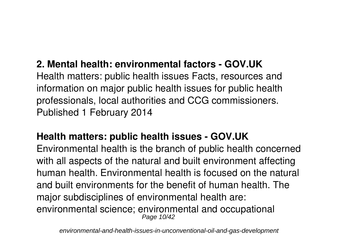## **2. Mental health: environmental factors - GOV.UK**

Health matters: public health issues Facts, resources and information on major public health issues for public health professionals, local authorities and CCG commissioners. Published 1 February 2014

## **Health matters: public health issues - GOV.UK**

Environmental health is the branch of public health concerned with all aspects of the natural and built environment affecting human health. Environmental health is focused on the natural and built environments for the benefit of human health. The major subdisciplines of environmental health are: environmental science; environmental and occupational Page 10/42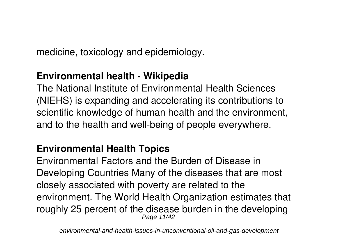medicine, toxicology and epidemiology.

## **Environmental health - Wikipedia**

The National Institute of Environmental Health Sciences (NIEHS) is expanding and accelerating its contributions to scientific knowledge of human health and the environment, and to the health and well-being of people everywhere.

## **Environmental Health Topics**

Environmental Factors and the Burden of Disease in Developing Countries Many of the diseases that are most closely associated with poverty are related to the environment. The World Health Organization estimates that roughly 25 percent of the disease burden in the developing Page 11/42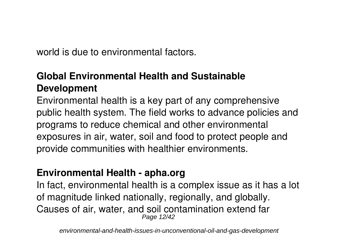world is due to environmental factors.

# **Global Environmental Health and Sustainable Development**

Environmental health is a key part of any comprehensive public health system. The field works to advance policies and programs to reduce chemical and other environmental exposures in air, water, soil and food to protect people and provide communities with healthier environments.

## **Environmental Health - apha.org**

In fact, environmental health is a complex issue as it has a lot of magnitude linked nationally, regionally, and globally. Causes of air, water, and soil contamination extend far Page 12/42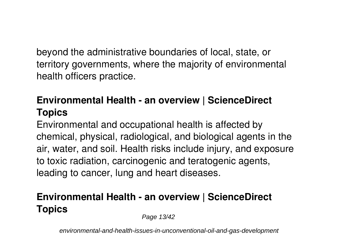beyond the administrative boundaries of local, state, or territory governments, where the majority of environmental health officers practice.

# **Environmental Health - an overview | ScienceDirect Topics**

Environmental and occupational health is affected by chemical, physical, radiological, and biological agents in the air, water, and soil. Health risks include injury, and exposure to toxic radiation, carcinogenic and teratogenic agents, leading to cancer, lung and heart diseases.

# **Environmental Health - an overview | ScienceDirect Topics**

Page 13/42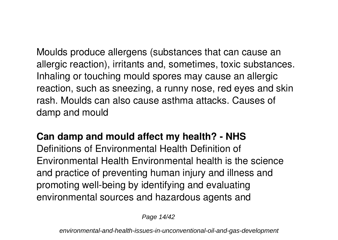Moulds produce allergens (substances that can cause an allergic reaction), irritants and, sometimes, toxic substances. Inhaling or touching mould spores may cause an allergic reaction, such as sneezing, a runny nose, red eyes and skin rash. Moulds can also cause asthma attacks. Causes of damp and mould

### **Can damp and mould affect my health? - NHS**

Definitions of Environmental Health Definition of Environmental Health Environmental health is the science and practice of preventing human injury and illness and promoting well-being by identifying and evaluating environmental sources and hazardous agents and

Page 14/42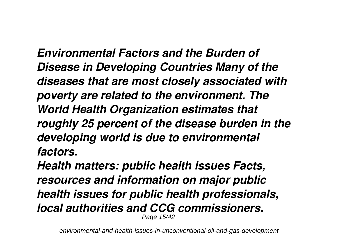*Environmental Factors and the Burden of Disease in Developing Countries Many of the diseases that are most closely associated with poverty are related to the environment. The World Health Organization estimates that roughly 25 percent of the disease burden in the developing world is due to environmental factors.*

*Health matters: public health issues Facts, resources and information on major public health issues for public health professionals, local authorities and CCG commissioners.* Page 15/42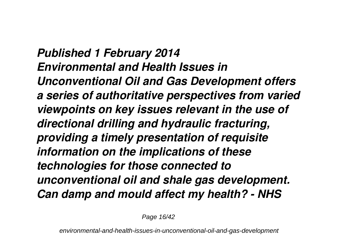*Published 1 February 2014 Environmental and Health Issues in Unconventional Oil and Gas Development offers a series of authoritative perspectives from varied viewpoints on key issues relevant in the use of directional drilling and hydraulic fracturing, providing a timely presentation of requisite information on the implications of these technologies for those connected to unconventional oil and shale gas development. Can damp and mould affect my health? - NHS*

Page 16/42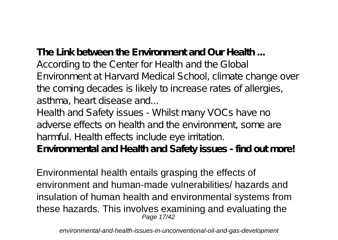**The Link between the Environment and Our Health ...** According to the Center for Health and the Global Environment at Harvard Medical School, climate change over

the coming decades is likely to increase rates of allergies, asthma, heart disease and...

Health and Safety issues - Whilst many VOCs have no adverse effects on health and the environment, some are harmful. Health effects include eye irritation. **Environmental and Health and Safety issues - find out more!**

Environmental health entails grasping the effects of environment and human-made vulnerabilities/ hazards and insulation of human health and environmental systems from these hazards. This involves examining and evaluating the Page 17/42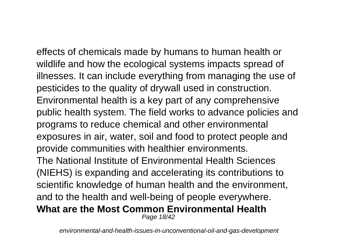effects of chemicals made by humans to human health or wildlife and how the ecological systems impacts spread of illnesses. It can include everything from managing the use of pesticides to the quality of drywall used in construction. Environmental health is a key part of any comprehensive public health system. The field works to advance policies and programs to reduce chemical and other environmental exposures in air, water, soil and food to protect people and provide communities with healthier environments. The National Institute of Environmental Health Sciences (NIEHS) is expanding and accelerating its contributions to scientific knowledge of human health and the environment, and to the health and well-being of people everywhere. **What are the Most Common Environmental Health** Page 18/42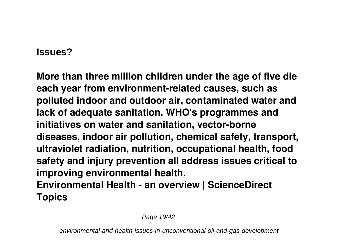#### **Issues?**

**More than three million children under the age of five die each year from environment-related causes, such as polluted indoor and outdoor air, contaminated water and lack of adequate sanitation. WHO's programmes and initiatives on water and sanitation, vector-borne diseases, indoor air pollution, chemical safety, transport, ultraviolet radiation, nutrition, occupational health, food safety and injury prevention all address issues critical to improving environmental health. Environmental Health - an overview | ScienceDirect Topics**

Page 19/42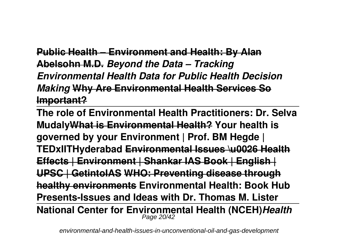**Public Health – Environment and Health: By Alan Abelsohn M.D.** *Beyond the Data – Tracking Environmental Health Data for Public Health Decision Making* **Why Are Environmental Health Services So Important?**

**The role of Environmental Health Practitioners: Dr. Selva MudalyWhat is Environmental Health? Your health is governed by your Environment | Prof. BM Hegde | TEDxIITHyderabad Environmental Issues \u0026 Health Effects | Environment | Shankar IAS Book | English | UPSC | GetintoIAS WHO: Preventing disease through healthy environments Environmental Health: Book Hub Presents-Issues and Ideas with Dr. Thomas M. Lister National Center for Environmental Health (NCEH)***Health* Page 20/42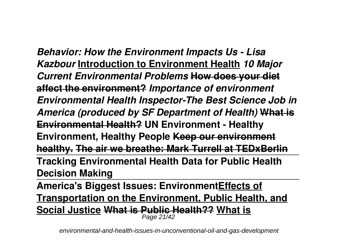*Behavior: How the Environment Impacts Us - Lisa Kazbour* **Introduction to Environment Health** *10 Major Current Environmental Problems* **How does your diet affect the environment?** *Importance of environment Environmental Health Inspector-The Best Science Job in America (produced by SF Department of Health)* **What is Environmental Health? UN Environment - Healthy Environment, Healthy People Keep our environment healthy. The air we breathe: Mark Turrell at TEDxBerlin Tracking Environmental Health Data for Public Health Decision Making**

**America's Biggest Issues: EnvironmentEffects of Transportation on the Environment, Public Health, and Social Justice What is Public Health?? What is** Page 21/42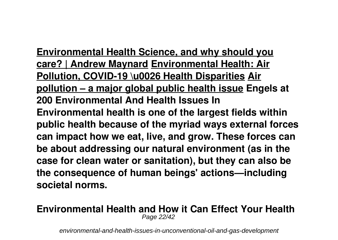**Environmental Health Science, and why should you care? | Andrew Maynard Environmental Health: Air Pollution, COVID-19 \u0026 Health Disparities Air pollution – a major global public health issue Engels at 200 Environmental And Health Issues In Environmental health is one of the largest fields within public health because of the myriad ways external forces can impact how we eat, live, and grow. These forces can be about addressing our natural environment (as in the case for clean water or sanitation), but they can also be the consequence of human beings' actions—including societal norms.**

#### **Environmental Health and How it Can Effect Your Health** Page 22/42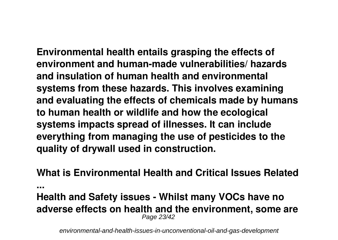**Environmental health entails grasping the effects of environment and human-made vulnerabilities/ hazards and insulation of human health and environmental systems from these hazards. This involves examining and evaluating the effects of chemicals made by humans to human health or wildlife and how the ecological systems impacts spread of illnesses. It can include everything from managing the use of pesticides to the quality of drywall used in construction.**

**What is Environmental Health and Critical Issues Related**

**...**

#### **Health and Safety issues - Whilst many VOCs have no adverse effects on health and the environment, some are** Page 23/42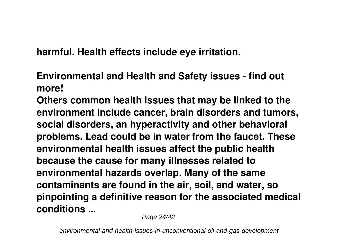**harmful. Health effects include eye irritation.**

**Environmental and Health and Safety issues - find out more!**

**Others common health issues that may be linked to the environment include cancer, brain disorders and tumors, social disorders, an hyperactivity and other behavioral problems. Lead could be in water from the faucet. These environmental health issues affect the public health because the cause for many illnesses related to environmental hazards overlap. Many of the same contaminants are found in the air, soil, and water, so pinpointing a definitive reason for the associated medical conditions ...**

Page 24/42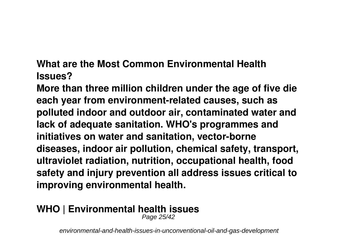**What are the Most Common Environmental Health Issues?**

**More than three million children under the age of five die each year from environment-related causes, such as polluted indoor and outdoor air, contaminated water and lack of adequate sanitation. WHO's programmes and initiatives on water and sanitation, vector-borne diseases, indoor air pollution, chemical safety, transport, ultraviolet radiation, nutrition, occupational health, food safety and injury prevention all address issues critical to improving environmental health.**

## **WHO | Environmental health issues**

Page 25/42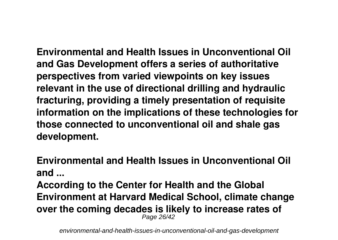**Environmental and Health Issues in Unconventional Oil and Gas Development offers a series of authoritative perspectives from varied viewpoints on key issues relevant in the use of directional drilling and hydraulic fracturing, providing a timely presentation of requisite information on the implications of these technologies for those connected to unconventional oil and shale gas development.**

**Environmental and Health Issues in Unconventional Oil and ...**

**According to the Center for Health and the Global Environment at Harvard Medical School, climate change over the coming decades is likely to increase rates of** Page 26/42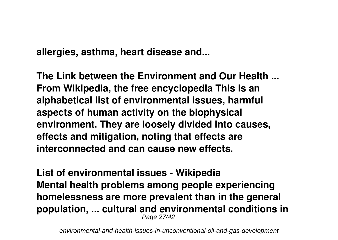**allergies, asthma, heart disease and...**

**The Link between the Environment and Our Health ... From Wikipedia, the free encyclopedia This is an alphabetical list of environmental issues, harmful aspects of human activity on the biophysical environment. They are loosely divided into causes, effects and mitigation, noting that effects are interconnected and can cause new effects.**

**List of environmental issues - Wikipedia Mental health problems among people experiencing homelessness are more prevalent than in the general population, ... cultural and environmental conditions in** Page 27/42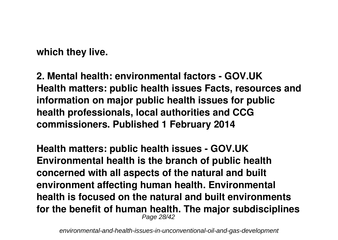**which they live.**

**2. Mental health: environmental factors - GOV.UK Health matters: public health issues Facts, resources and information on major public health issues for public health professionals, local authorities and CCG commissioners. Published 1 February 2014**

**Health matters: public health issues - GOV.UK Environmental health is the branch of public health concerned with all aspects of the natural and built environment affecting human health. Environmental health is focused on the natural and built environments for the benefit of human health. The major subdisciplines** Page 28/42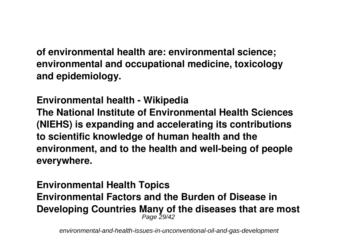**of environmental health are: environmental science; environmental and occupational medicine, toxicology and epidemiology.**

**Environmental health - Wikipedia The National Institute of Environmental Health Sciences (NIEHS) is expanding and accelerating its contributions to scientific knowledge of human health and the environment, and to the health and well-being of people everywhere.**

#### **Environmental Health Topics Environmental Factors and the Burden of Disease in Developing Countries Many of the diseases that are most** Page 29/42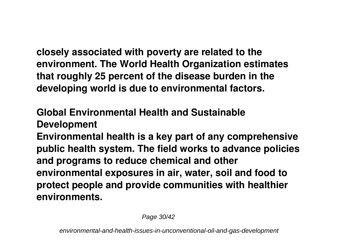**closely associated with poverty are related to the environment. The World Health Organization estimates that roughly 25 percent of the disease burden in the developing world is due to environmental factors.**

**Global Environmental Health and Sustainable**

**Development**

**Environmental health is a key part of any comprehensive public health system. The field works to advance policies and programs to reduce chemical and other environmental exposures in air, water, soil and food to protect people and provide communities with healthier environments.**

Page 30/42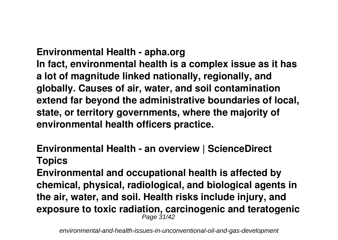**Environmental Health - apha.org In fact, environmental health is a complex issue as it has a lot of magnitude linked nationally, regionally, and globally. Causes of air, water, and soil contamination extend far beyond the administrative boundaries of local, state, or territory governments, where the majority of environmental health officers practice.**

## **Environmental Health - an overview | ScienceDirect Topics**

**Environmental and occupational health is affected by chemical, physical, radiological, and biological agents in the air, water, and soil. Health risks include injury, and exposure to toxic radiation, carcinogenic and teratogenic** Page 31/42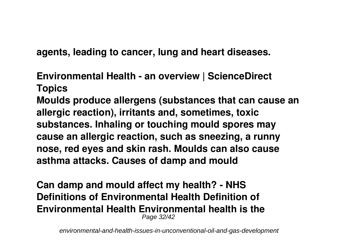**agents, leading to cancer, lung and heart diseases.**

**Environmental Health - an overview | ScienceDirect Topics**

**Moulds produce allergens (substances that can cause an allergic reaction), irritants and, sometimes, toxic substances. Inhaling or touching mould spores may cause an allergic reaction, such as sneezing, a runny nose, red eyes and skin rash. Moulds can also cause asthma attacks. Causes of damp and mould**

**Can damp and mould affect my health? - NHS Definitions of Environmental Health Definition of Environmental Health Environmental health is the** Page 32/42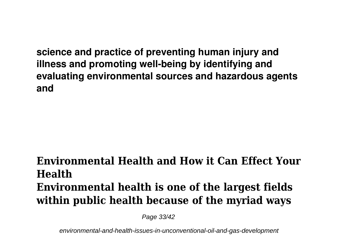**science and practice of preventing human injury and illness and promoting well-being by identifying and evaluating environmental sources and hazardous agents and**

# **Environmental Health and How it Can Effect Your Health Environmental health is one of the largest fields within public health because of the myriad ways**

Page 33/42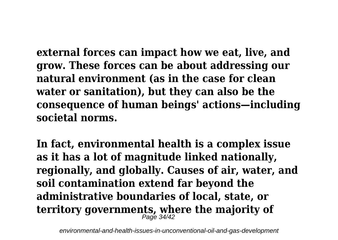**external forces can impact how we eat, live, and grow. These forces can be about addressing our natural environment (as in the case for clean water or sanitation), but they can also be the consequence of human beings' actions—including societal norms.**

**In fact, environmental health is a complex issue as it has a lot of magnitude linked nationally, regionally, and globally. Causes of air, water, and soil contamination extend far beyond the administrative boundaries of local, state, or territory governments, where the majority of** Page 34/42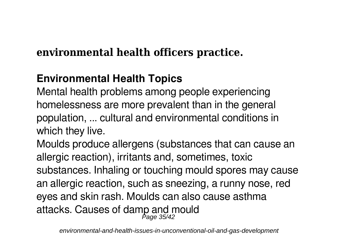# **environmental health officers practice.**

# **Environmental Health Topics**

Mental health problems among people experiencing homelessness are more prevalent than in the general population, ... cultural and environmental conditions in which they live.

Moulds produce allergens (substances that can cause an allergic reaction), irritants and, sometimes, toxic substances. Inhaling or touching mould spores may cause an allergic reaction, such as sneezing, a runny nose, red eyes and skin rash. Moulds can also cause asthma attacks. Causes of damp and mould Page 35/42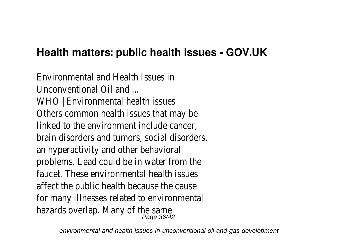# **Health matters: public health issues - GOV.UK**

Environmental and Health Issues in Unconventional Oil and WHO | Environmental health issues Others common health issues that may be linked to the environment include cancer, brain disorders and tumors, social disorders, an hyperactivity and other behavioral problems. Lead could be in water from the faucet. These environmental health issues affect the public health because the cause for many illnesses related to environmental hazards overlap. Many of the same Page 36/42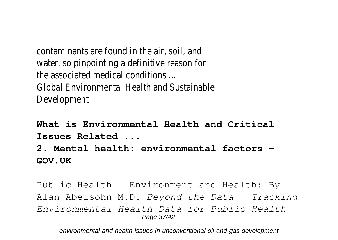contaminants are found in the air, soil, and water, so pinpointing a definitive reason for the associated medical conditions ... Global Environmental Health and Sustainable Development

**What is Environmental Health and Critical Issues Related ...**

**2. Mental health: environmental factors - GOV.UK**

Public Health – Environment and Health: By Alan Abelsohn M.D. *Beyond the Data – Tracking Environmental Health Data for Public Health* Page 37/42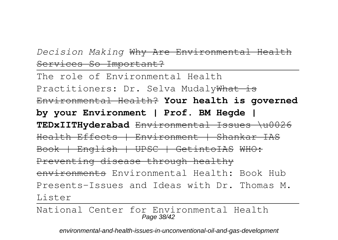## *Decision Making* Why Are Environmental Health Services So Important?

The role of Environmental Health Practitioners: Dr. Selva MudalyWhat is Environmental Health? **Your health is governed by your Environment | Prof. BM Hegde | TEDxIITHyderabad** Environmental Issues \u0026 Health Effects | Environment | Shankar IAS Book | English | UPSC | GetintoIAS WHO: Preventing disease through healthy environments Environmental Health: Book Hub Presents-Issues and Ideas with Dr. Thomas M. Lister

National Center for Environmental Health Page 38/42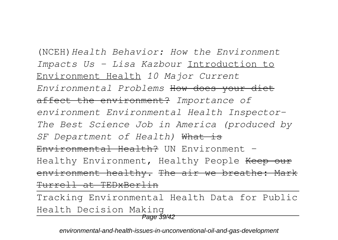(NCEH)*Health Behavior: How the Environment Impacts Us - Lisa Kazbour* Introduction to Environment Health *10 Major Current Environmental Problems* How does your diet affect the environment? *Importance of environment Environmental Health Inspector-The Best Science Job in America (produced by SF Department of Health)* What is Environmental Health? UN Environment -Healthy Environment, Healthy People Keep our environment healthy. The air we breathe: Mark Turrell at TEDxBerlin

Tracking Environmental Health Data for Public Health Decision Making

Page 39/42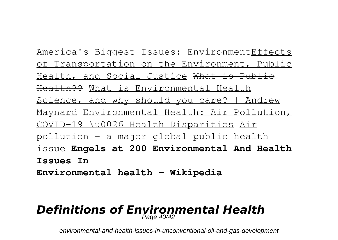America's Biggest Issues: EnvironmentEffects of Transportation on the Environment, Public Health, and Social Justice What is Public Health?? What is Environmental Health Science, and why should you care? | Andrew Maynard Environmental Health: Air Pollution, COVID-19 \u0026 Health Disparities Air pollution – a major global public health issue **Engels at 200 Environmental And Health Issues In Environmental health - Wikipedia**

#### *Definitions of Environmental Health*  $P$ age  $40/42$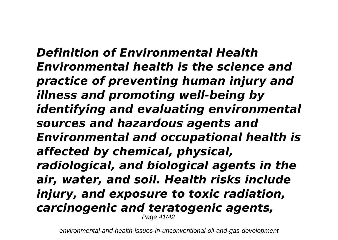*Definition of Environmental Health Environmental health is the science and practice of preventing human injury and illness and promoting well-being by identifying and evaluating environmental sources and hazardous agents and Environmental and occupational health is affected by chemical, physical, radiological, and biological agents in the air, water, and soil. Health risks include injury, and exposure to toxic radiation, carcinogenic and teratogenic agents,* Page 41/42